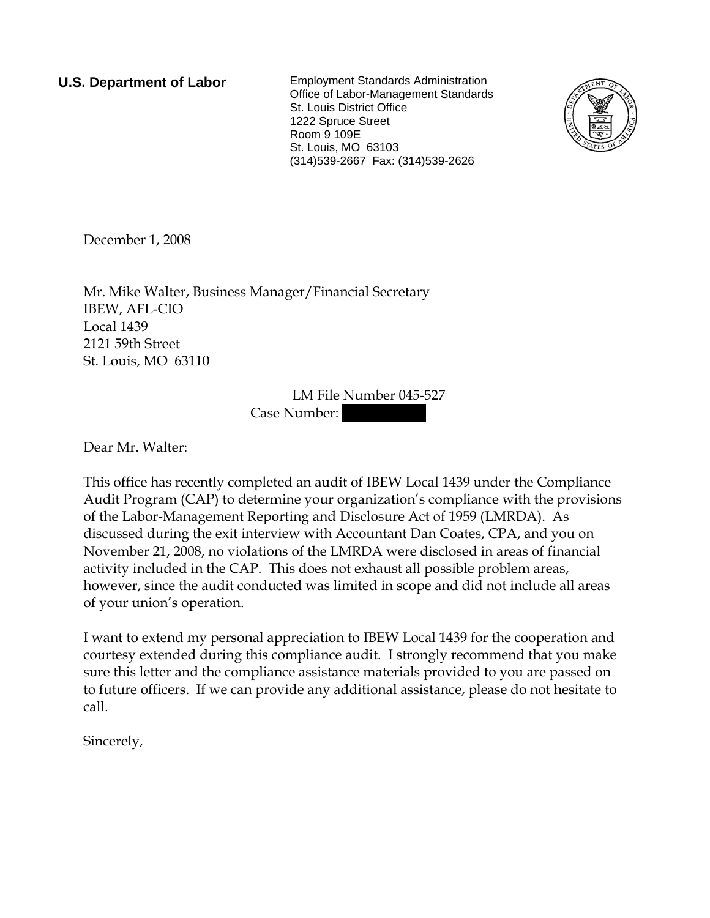**U.S. Department of Labor** Employment Standards Administration Office of Labor-Management Standards St. Louis District Office 1222 Spruce Street Room 9 109E St. Louis, MO 63103 (314)539-2667 Fax: (314)539-2626



December 1, 2008

Mr. Mike Walter, Business Manager/Financial Secretary IBEW, AFL-CIO Local 1439 2121 59th Street St. Louis, MO 63110

> LM File Number 045-527 Case Number:

Dear Mr. Walter:

This office has recently completed an audit of IBEW Local 1439 under the Compliance Audit Program (CAP) to determine your organization's compliance with the provisions of the Labor-Management Reporting and Disclosure Act of 1959 (LMRDA). As discussed during the exit interview with Accountant Dan Coates, CPA, and you on November 21, 2008, no violations of the LMRDA were disclosed in areas of financial activity included in the CAP. This does not exhaust all possible problem areas, however, since the audit conducted was limited in scope and did not include all areas of your union's operation.

I want to extend my personal appreciation to IBEW Local 1439 for the cooperation and courtesy extended during this compliance audit. I strongly recommend that you make sure this letter and the compliance assistance materials provided to you are passed on to future officers. If we can provide any additional assistance, please do not hesitate to call.

Sincerely,